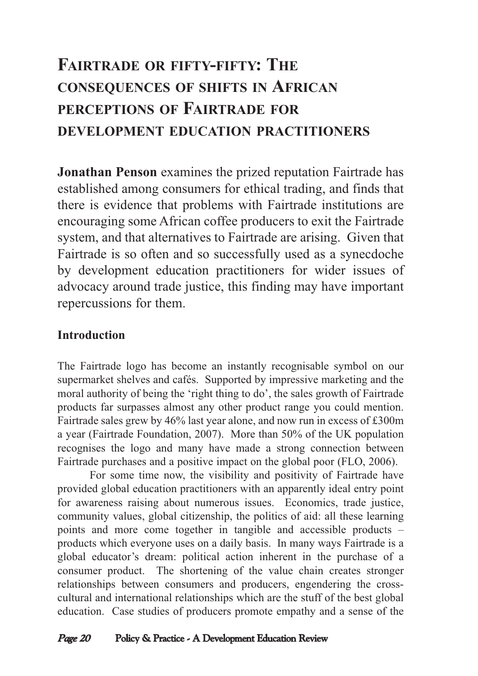# **FAIRTRADE OR FIFTY-FIFTY: THE CONSEQUENCES OF SHIFTS IN AFRICAN PERCEPTIONS OF FAIRTRADE FOR DEVELOPMENT EDUCATION PRACTITIONERS**

**Jonathan Penson** examines the prized reputation Fairtrade has established among consumers for ethical trading, and finds that there is evidence that problems with Fairtrade institutions are encouraging some African coffee producers to exit the Fairtrade system, and that alternatives to Fairtrade are arising. Given that Fairtrade is so often and so successfully used as a synecdoche by development education practitioners for wider issues of advocacy around trade justice, this finding may have important repercussions for them.

## **Introduction**

The Fairtrade logo has become an instantly recognisable symbol on our supermarket shelves and cafés. Supported by impressive marketing and the moral authority of being the 'right thing to do', the sales growth of Fairtrade products far surpasses almost any other product range you could mention. Fairtrade sales grew by 46% last year alone, and now run in excess of £300m a year (Fairtrade Foundation, 2007). More than 50% of the UK population recognises the logo and many have made a strong connection between Fairtrade purchases and a positive impact on the global poor (FLO, 2006).

For some time now, the visibility and positivity of Fairtrade have provided global education practitioners with an apparently ideal entry point for awareness raising about numerous issues. Economics, trade justice, community values, global citizenship, the politics of aid: all these learning points and more come together in tangible and accessible products – products which everyone uses on a daily basis. In many ways Fairtrade is a global educator's dream: political action inherent in the purchase of a consumer product. The shortening of the value chain creates stronger relationships between consumers and producers, engendering the crosscultural and international relationships which are the stuff of the best global education. Case studies of producers promote empathy and a sense of the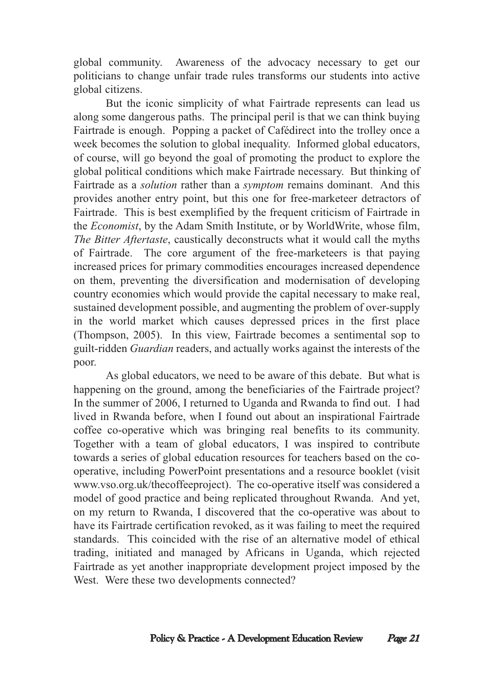global community. Awareness of the advocacy necessary to get our politicians to change unfair trade rules transforms our students into active global citizens.

But the iconic simplicity of what Fairtrade represents can lead us along some dangerous paths. The principal peril is that we can think buying Fairtrade is enough. Popping a packet of Cafédirect into the trolley once a week becomes the solution to global inequality. Informed global educators, of course, will go beyond the goal of promoting the product to explore the global political conditions which make Fairtrade necessary. But thinking of Fairtrade as a *solution* rather than a *symptom* remains dominant. And this provides another entry point, but this one for free-marketeer detractors of Fairtrade. This is best exemplified by the frequent criticism of Fairtrade in the *Economist*, by the Adam Smith Institute, or by WorldWrite, whose film, *The Bitter Aftertaste*, caustically deconstructs what it would call the myths of Fairtrade. The core argument of the free-marketeers is that paying increased prices for primary commodities encourages increased dependence on them, preventing the diversification and modernisation of developing country economies which would provide the capital necessary to make real, sustained development possible, and augmenting the problem of over-supply in the world market which causes depressed prices in the first place (Thompson, 2005). In this view, Fairtrade becomes a sentimental sop to guilt-ridden *Guardian* readers, and actually works against the interests of the poor.

As global educators, we need to be aware of this debate. But what is happening on the ground, among the beneficiaries of the Fairtrade project? In the summer of 2006, I returned to Uganda and Rwanda to find out. I had lived in Rwanda before, when I found out about an inspirational Fairtrade coffee co-operative which was bringing real benefits to its community. Together with a team of global educators, I was inspired to contribute towards a series of global education resources for teachers based on the cooperative, including PowerPoint presentations and a resource booklet (visit www.vso.org.uk/thecoffeeproject). The co-operative itself was considered a model of good practice and being replicated throughout Rwanda. And yet, on my return to Rwanda, I discovered that the co-operative was about to have its Fairtrade certification revoked, as it was failing to meet the required standards. This coincided with the rise of an alternative model of ethical trading, initiated and managed by Africans in Uganda, which rejected Fairtrade as yet another inappropriate development project imposed by the West. Were these two developments connected?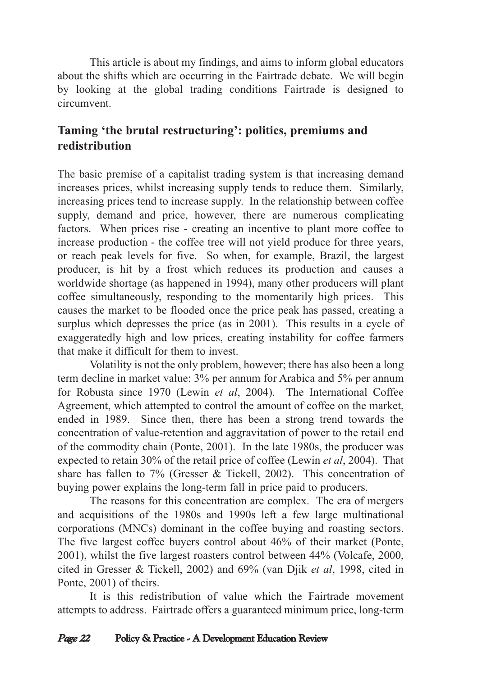This article is about my findings, and aims to inform global educators about the shifts which are occurring in the Fairtrade debate. We will begin by looking at the global trading conditions Fairtrade is designed to circumvent.

## **Taming 'the brutal restructuring': politics, premiums and redistribution**

The basic premise of a capitalist trading system is that increasing demand increases prices, whilst increasing supply tends to reduce them. Similarly, increasing prices tend to increase supply. In the relationship between coffee supply, demand and price, however, there are numerous complicating factors. When prices rise - creating an incentive to plant more coffee to increase production - the coffee tree will not yield produce for three years, or reach peak levels for five. So when, for example, Brazil, the largest producer, is hit by a frost which reduces its production and causes a worldwide shortage (as happened in 1994), many other producers will plant coffee simultaneously, responding to the momentarily high prices. This causes the market to be flooded once the price peak has passed, creating a surplus which depresses the price (as in 2001). This results in a cycle of exaggeratedly high and low prices, creating instability for coffee farmers that make it difficult for them to invest.

Volatility is not the only problem, however; there has also been a long term decline in market value: 3% per annum for Arabica and 5% per annum for Robusta since 1970 (Lewin *et al*, 2004). The International Coffee Agreement, which attempted to control the amount of coffee on the market, ended in 1989. Since then, there has been a strong trend towards the concentration of value-retention and aggravitation of power to the retail end of the commodity chain (Ponte, 2001). In the late 1980s, the producer was expected to retain 30% of the retail price of coffee (Lewin *et al*, 2004). That share has fallen to 7% (Gresser & Tickell, 2002). This concentration of buying power explains the long-term fall in price paid to producers.

The reasons for this concentration are complex. The era of mergers and acquisitions of the 1980s and 1990s left a few large multinational corporations (MNCs) dominant in the coffee buying and roasting sectors. The five largest coffee buyers control about 46% of their market (Ponte, 2001), whilst the five largest roasters control between 44% (Volcafe, 2000, cited in Gresser & Tickell, 2002) and 69% (van Djik *et al*, 1998, cited in Ponte, 2001) of theirs.

It is this redistribution of value which the Fairtrade movement attempts to address. Fairtrade offers a guaranteed minimum price, long-term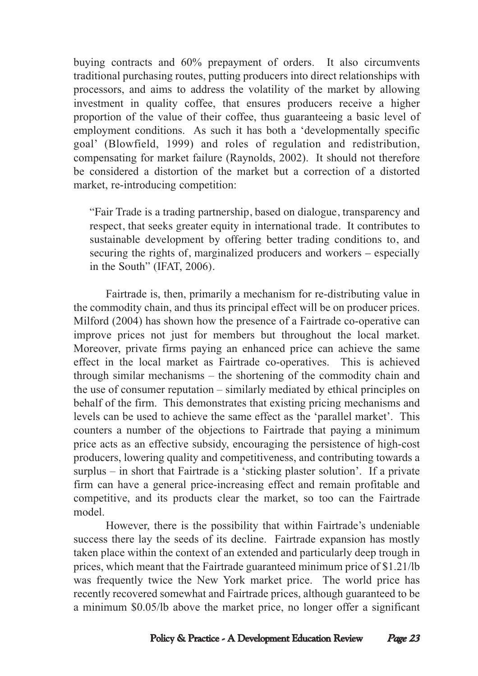buying contracts and 60% prepayment of orders. It also circumvents traditional purchasing routes, putting producers into direct relationships with processors, and aims to address the volatility of the market by allowing investment in quality coffee, that ensures producers receive a higher proportion of the value of their coffee, thus guaranteeing a basic level of employment conditions. As such it has both a 'developmentally specific goal' (Blowfield, 1999) and roles of regulation and redistribution, compensating for market failure (Raynolds, 2002). It should not therefore be considered a distortion of the market but a correction of a distorted market, re-introducing competition:

"Fair Trade is a trading partnership, based on dialogue, transparency and respect, that seeks greater equity in international trade. It contributes to sustainable development by offering better trading conditions to, and securing the rights of, marginalized producers and workers – especially in the South" (IFAT, 2006).

Fairtrade is, then, primarily a mechanism for re-distributing value in the commodity chain, and thus its principal effect will be on producer prices. Milford (2004) has shown how the presence of a Fairtrade co-operative can improve prices not just for members but throughout the local market. Moreover, private firms paying an enhanced price can achieve the same effect in the local market as Fairtrade co-operatives. This is achieved through similar mechanisms – the shortening of the commodity chain and the use of consumer reputation – similarly mediated by ethical principles on behalf of the firm. This demonstrates that existing pricing mechanisms and levels can be used to achieve the same effect as the 'parallel market'. This counters a number of the objections to Fairtrade that paying a minimum price acts as an effective subsidy, encouraging the persistence of high-cost producers, lowering quality and competitiveness, and contributing towards a surplus – in short that Fairtrade is a 'sticking plaster solution'. If a private firm can have a general price-increasing effect and remain profitable and competitive, and its products clear the market, so too can the Fairtrade model.

However, there is the possibility that within Fairtrade's undeniable success there lay the seeds of its decline. Fairtrade expansion has mostly taken place within the context of an extended and particularly deep trough in prices, which meant that the Fairtrade guaranteed minimum price of \$1.21/lb was frequently twice the New York market price. The world price has recently recovered somewhat and Fairtrade prices, although guaranteed to be a minimum \$0.05/lb above the market price, no longer offer a significant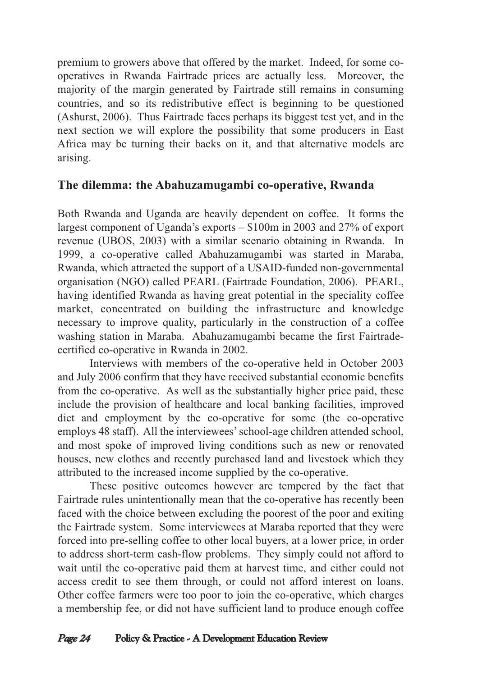premium to growers above that offered by the market. Indeed, for some cooperatives in Rwanda Fairtrade prices are actually less. Moreover, the majority of the margin generated by Fairtrade still remains in consuming countries, and so its redistributive effect is beginning to be questioned (Ashurst, 2006). Thus Fairtrade faces perhaps its biggest test yet, and in the next section we will explore the possibility that some producers in East Africa may be turning their backs on it, and that alternative models are arising.

## **The dilemma: the Abahuzamugambi co-operative, Rwanda**

Both Rwanda and Uganda are heavily dependent on coffee. It forms the largest component of Uganda's exports – \$100m in 2003 and 27% of export revenue (UBOS, 2003) with a similar scenario obtaining in Rwanda. In 1999, a co-operative called Abahuzamugambi was started in Maraba, Rwanda, which attracted the support of a USAID-funded non-governmental organisation (NGO) called PEARL (Fairtrade Foundation, 2006). PEARL, having identified Rwanda as having great potential in the speciality coffee market, concentrated on building the infrastructure and knowledge necessary to improve quality, particularly in the construction of a coffee washing station in Maraba. Abahuzamugambi became the first Fairtradecertified co-operative in Rwanda in 2002.

Interviews with members of the co-operative held in October 2003 and July 2006 confirm that they have received substantial economic benefits from the co-operative. As well as the substantially higher price paid, these include the provision of healthcare and local banking facilities, improved diet and employment by the co-operative for some (the co-operative employs 48 staff). All the interviewees' school-age children attended school, and most spoke of improved living conditions such as new or renovated houses, new clothes and recently purchased land and livestock which they attributed to the increased income supplied by the co-operative.

These positive outcomes however are tempered by the fact that Fairtrade rules unintentionally mean that the co-operative has recently been faced with the choice between excluding the poorest of the poor and exiting the Fairtrade system. Some interviewees at Maraba reported that they were forced into pre-selling coffee to other local buyers, at a lower price, in order to address short-term cash-flow problems. They simply could not afford to wait until the co-operative paid them at harvest time, and either could not access credit to see them through, or could not afford interest on loans. Other coffee farmers were too poor to join the co-operative, which charges a membership fee, or did not have sufficient land to produce enough coffee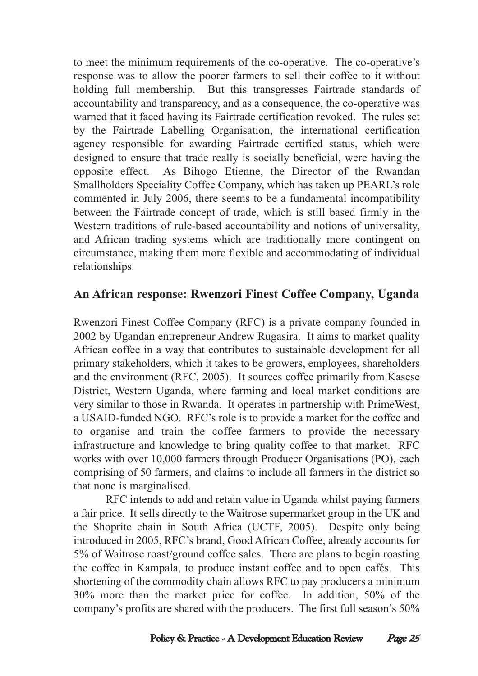to meet the minimum requirements of the co-operative. The co-operative's response was to allow the poorer farmers to sell their coffee to it without holding full membership. But this transgresses Fairtrade standards of accountability and transparency, and as a consequence, the co-operative was warned that it faced having its Fairtrade certification revoked. The rules set by the Fairtrade Labelling Organisation, the international certification agency responsible for awarding Fairtrade certified status, which were designed to ensure that trade really is socially beneficial, were having the opposite effect. As Bihogo Etienne, the Director of the Rwandan Smallholders Speciality Coffee Company, which has taken up PEARL's role commented in July 2006, there seems to be a fundamental incompatibility between the Fairtrade concept of trade, which is still based firmly in the Western traditions of rule-based accountability and notions of universality, and African trading systems which are traditionally more contingent on circumstance, making them more flexible and accommodating of individual relationships.

### **An African response: Rwenzori Finest Coffee Company, Uganda**

Rwenzori Finest Coffee Company (RFC) is a private company founded in 2002 by Ugandan entrepreneur Andrew Rugasira. It aims to market quality African coffee in a way that contributes to sustainable development for all primary stakeholders, which it takes to be growers, employees, shareholders and the environment (RFC, 2005). It sources coffee primarily from Kasese District, Western Uganda, where farming and local market conditions are very similar to those in Rwanda. It operates in partnership with PrimeWest, a USAID-funded NGO. RFC's role is to provide a market for the coffee and to organise and train the coffee farmers to provide the necessary infrastructure and knowledge to bring quality coffee to that market. RFC works with over 10,000 farmers through Producer Organisations (PO), each comprising of 50 farmers, and claims to include all farmers in the district so that none is marginalised.

RFC intends to add and retain value in Uganda whilst paying farmers a fair price. It sells directly to the Waitrose supermarket group in the UK and the Shoprite chain in South Africa (UCTF, 2005). Despite only being introduced in 2005, RFC's brand, Good African Coffee, already accounts for 5% of Waitrose roast/ground coffee sales. There are plans to begin roasting the coffee in Kampala, to produce instant coffee and to open cafés. This shortening of the commodity chain allows RFC to pay producers a minimum 30% more than the market price for coffee. In addition, 50% of the company's profits are shared with the producers. The first full season's 50%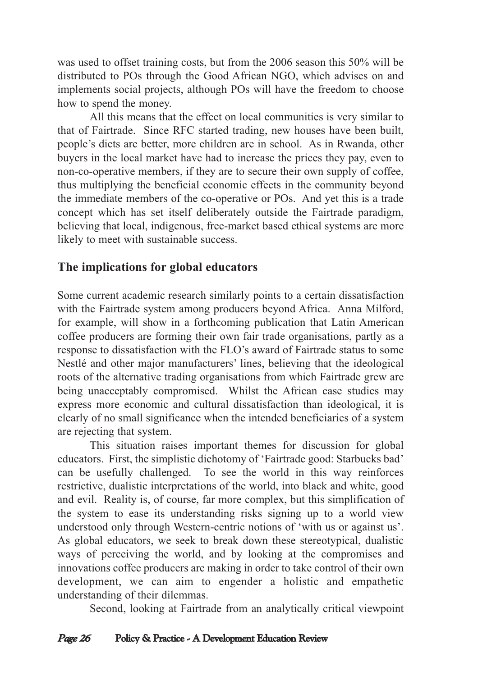was used to offset training costs, but from the 2006 season this 50% will be distributed to POs through the Good African NGO, which advises on and implements social projects, although POs will have the freedom to choose how to spend the money.

All this means that the effect on local communities is very similar to that of Fairtrade. Since RFC started trading, new houses have been built, people's diets are better, more children are in school. As in Rwanda, other buyers in the local market have had to increase the prices they pay, even to non-co-operative members, if they are to secure their own supply of coffee, thus multiplying the beneficial economic effects in the community beyond the immediate members of the co-operative or POs. And yet this is a trade concept which has set itself deliberately outside the Fairtrade paradigm, believing that local, indigenous, free-market based ethical systems are more likely to meet with sustainable success.

### **The implications for global educators**

Some current academic research similarly points to a certain dissatisfaction with the Fairtrade system among producers beyond Africa. Anna Milford, for example, will show in a forthcoming publication that Latin American coffee producers are forming their own fair trade organisations, partly as a response to dissatisfaction with the FLO's award of Fairtrade status to some Nestlé and other major manufacturers' lines, believing that the ideological roots of the alternative trading organisations from which Fairtrade grew are being unacceptably compromised. Whilst the African case studies may express more economic and cultural dissatisfaction than ideological, it is clearly of no small significance when the intended beneficiaries of a system are rejecting that system.

This situation raises important themes for discussion for global educators. First, the simplistic dichotomy of 'Fairtrade good: Starbucks bad' can be usefully challenged. To see the world in this way reinforces restrictive, dualistic interpretations of the world, into black and white, good and evil. Reality is, of course, far more complex, but this simplification of the system to ease its understanding risks signing up to a world view understood only through Western-centric notions of 'with us or against us'. As global educators, we seek to break down these stereotypical, dualistic ways of perceiving the world, and by looking at the compromises and innovations coffee producers are making in order to take control of their own development, we can aim to engender a holistic and empathetic understanding of their dilemmas.

Second, looking at Fairtrade from an analytically critical viewpoint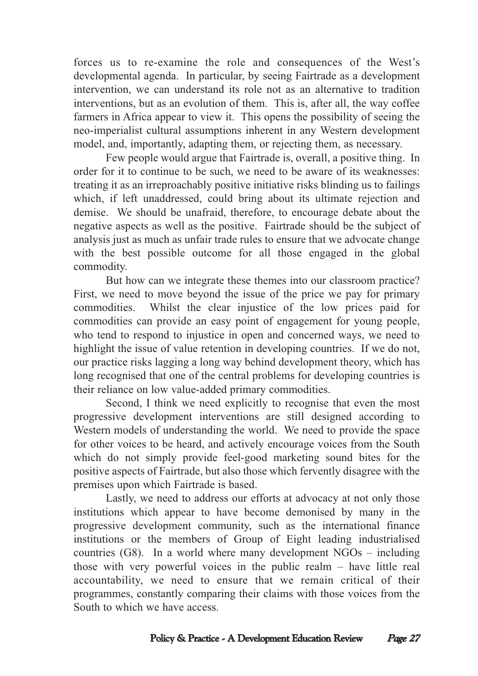forces us to re-examine the role and consequences of the West's developmental agenda. In particular, by seeing Fairtrade as a development intervention, we can understand its role not as an alternative to tradition interventions, but as an evolution of them. This is, after all, the way coffee farmers in Africa appear to view it. This opens the possibility of seeing the neo-imperialist cultural assumptions inherent in any Western development model, and, importantly, adapting them, or rejecting them, as necessary.

Few people would argue that Fairtrade is, overall, a positive thing. In order for it to continue to be such, we need to be aware of its weaknesses: treating it as an irreproachably positive initiative risks blinding us to failings which, if left unaddressed, could bring about its ultimate rejection and demise. We should be unafraid, therefore, to encourage debate about the negative aspects as well as the positive. Fairtrade should be the subject of analysis just as much as unfair trade rules to ensure that we advocate change with the best possible outcome for all those engaged in the global commodity.

But how can we integrate these themes into our classroom practice? First, we need to move beyond the issue of the price we pay for primary commodities. Whilst the clear injustice of the low prices paid for commodities can provide an easy point of engagement for young people, who tend to respond to injustice in open and concerned ways, we need to highlight the issue of value retention in developing countries. If we do not, our practice risks lagging a long way behind development theory, which has long recognised that one of the central problems for developing countries is their reliance on low value-added primary commodities.

Second, I think we need explicitly to recognise that even the most progressive development interventions are still designed according to Western models of understanding the world. We need to provide the space for other voices to be heard, and actively encourage voices from the South which do not simply provide feel-good marketing sound bites for the positive aspects of Fairtrade, but also those which fervently disagree with the premises upon which Fairtrade is based.

Lastly, we need to address our efforts at advocacy at not only those institutions which appear to have become demonised by many in the progressive development community, such as the international finance institutions or the members of Group of Eight leading industrialised countries (G8). In a world where many development NGOs – including those with very powerful voices in the public realm – have little real accountability, we need to ensure that we remain critical of their programmes, constantly comparing their claims with those voices from the South to which we have access.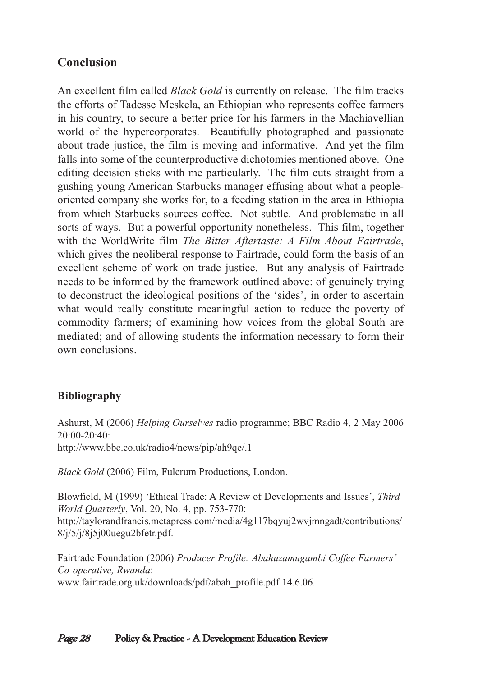## **Conclusion**

An excellent film called *Black Gold* is currently on release. The film tracks the efforts of Tadesse Meskela, an Ethiopian who represents coffee farmers in his country, to secure a better price for his farmers in the Machiavellian world of the hypercorporates. Beautifully photographed and passionate about trade justice, the film is moving and informative. And yet the film falls into some of the counterproductive dichotomies mentioned above. One editing decision sticks with me particularly. The film cuts straight from a gushing young American Starbucks manager effusing about what a peopleoriented company she works for, to a feeding station in the area in Ethiopia from which Starbucks sources coffee. Not subtle. And problematic in all sorts of ways. But a powerful opportunity nonetheless. This film, together with the WorldWrite film *The Bitter Aftertaste: A Film About Fairtrade*, which gives the neoliberal response to Fairtrade, could form the basis of an excellent scheme of work on trade justice. But any analysis of Fairtrade needs to be informed by the framework outlined above: of genuinely trying to deconstruct the ideological positions of the 'sides', in order to ascertain what would really constitute meaningful action to reduce the poverty of commodity farmers; of examining how voices from the global South are mediated; and of allowing students the information necessary to form their own conclusions.

#### **Bibliography**

Ashurst, M (2006) *Helping Ourselves* radio programme; BBC Radio 4, 2 May 2006 20:00-20:40: http://www.bbc.co.uk/radio4/news/pip/ah9qe/.1

*Black Gold* (2006) Film, Fulcrum Productions, London.

Blowfield, M (1999) 'Ethical Trade: A Review of Developments and Issues', *Third World Quarterly*, Vol. 20, No. 4, pp. 753-770: http://taylorandfrancis.metapress.com/media/4g117bqyuj2wvjmngadt/contributions/ 8/j/5/j/8j5j00uegu2bfetr.pdf.

Fairtrade Foundation (2006) *Producer Profile: Abahuzamugambi Coffee Farmers' Co-operative, Rwanda*: www.fairtrade.org.uk/downloads/pdf/abah\_profile.pdf 14.6.06.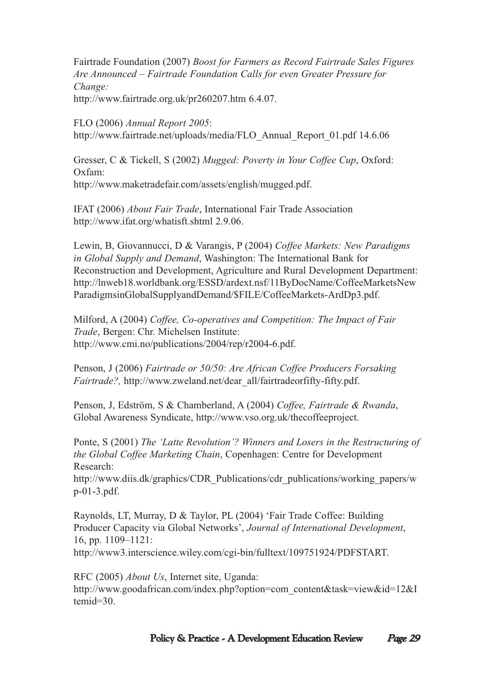Fairtrade Foundation (2007) *Boost for Farmers as Record Fairtrade Sales Figures Are Announced – Fairtrade Foundation Calls for even Greater Pressure for Change:* http://www.fairtrade.org.uk/pr260207.htm 6.4.07.

FLO (2006) *Annual Report 2005*: http://www.fairtrade.net/uploads/media/FLO\_Annual\_Report\_01.pdf 14.6.06

Gresser, C & Tickell, S (2002) *Mugged: Poverty in Your Coffee Cup*, Oxford: Oxfam: http://www.maketradefair.com/assets/english/mugged.pdf.

IFAT (2006) *About Fair Trade*, International Fair Trade Association http://www.ifat.org/whatisft.shtml 2.9.06.

Lewin, B, Giovannucci, D & Varangis, P (2004) *Coffee Markets: New Paradigms in Global Supply and Demand*, Washington: The International Bank for Reconstruction and Development, Agriculture and Rural Development Department: http://lnweb18.worldbank.org/ESSD/ardext.nsf/11ByDocName/CoffeeMarketsNew ParadigmsinGlobalSupplyandDemand/\$FILE/CoffeeMarkets-ArdDp3.pdf.

Milford, A (2004) *Coffee, Co-operatives and Competition: The Impact of Fair Trade*, Bergen: Chr. Michelsen Institute: http://www.cmi.no/publications/2004/rep/r2004-6.pdf.

Penson, J (2006) *Fairtrade or 50/50: Are African Coffee Producers Forsaking Fairtrade?,* http://www.zweland.net/dear\_all/fairtradeorfifty-fifty.pdf.

Penson, J, Edström, S & Chamberland, A (2004) *Coffee, Fairtrade & Rwanda*, Global Awareness Syndicate, http://www.vso.org.uk/thecoffeeproject.

Ponte, S (2001) *The 'Latte Revolution'? Winners and Losers in the Restructuring of the Global Coffee Marketing Chain*, Copenhagen: Centre for Development Research:

http://www.diis.dk/graphics/CDR\_Publications/cdr\_publications/working\_papers/w p-01-3.pdf.

Raynolds, LT, Murray, D & Taylor, PL (2004) 'Fair Trade Coffee: Building Producer Capacity via Global Networks', *Journal of International Development*, 16, pp. 1109–1121:

http://www3.interscience.wiley.com/cgi-bin/fulltext/109751924/PDFSTART.

RFC (2005) *About Us*, Internet site, Uganda: http://www.goodafrican.com/index.php?option=com\_content&task=view&id=12&I temid=30.